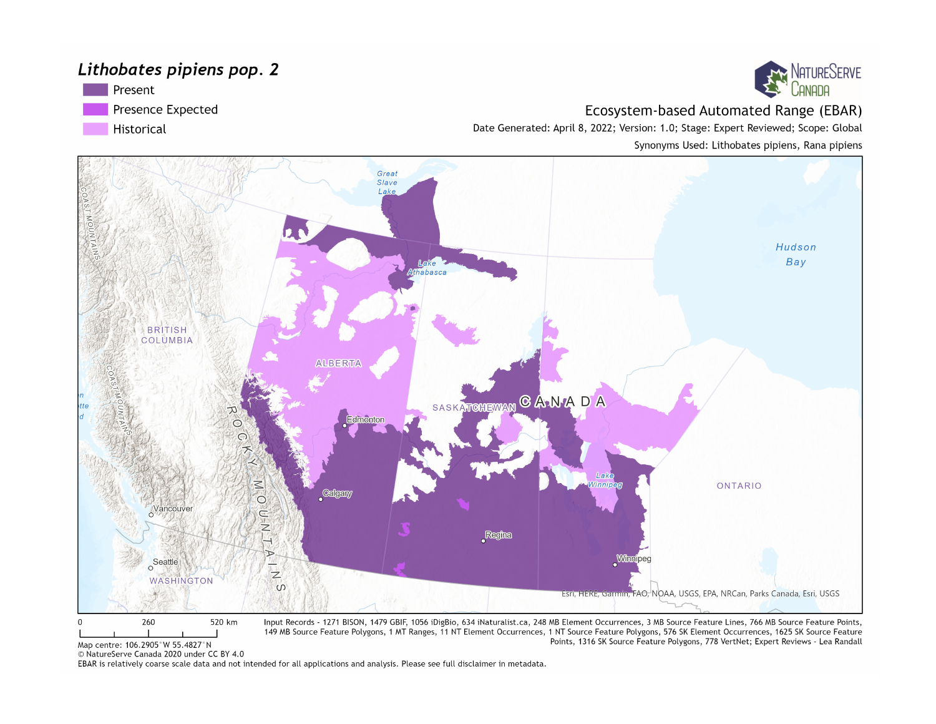#### Lithobates pipiens pop. 2





Ecosystem-based Automated Range (EBAR)

Points, 1316 SK Source Feature Polygons, 778 VertNet; Expert Reviews - Lea Randall

Date Generated: April 8, 2022; Version: 1.0; Stage: Expert Reviewed; Scope: Global Synonyms Used: Lithobates pipiens, Rana pipiens



Map centre: 106.2905°W 55.4827°N

© NatureServe Canada 2020 under CC BY 4.0

EBAR is relatively coarse scale data and not intended for all applications and analysis. Please see full disclaimer in metadata.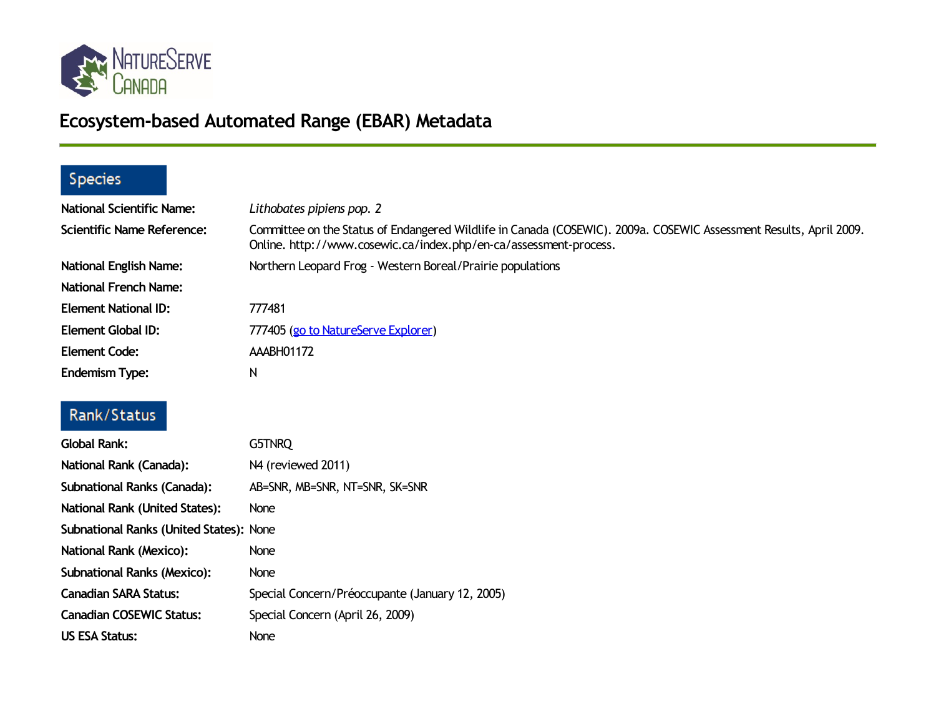

# **Ecosystem-based Automated Range (EBAR) Metadata**

## Species

| <b>National Scientific Name:</b> | Lithobates pipiens pop. 2                                                                                                                                                               |
|----------------------------------|-----------------------------------------------------------------------------------------------------------------------------------------------------------------------------------------|
| Scientific Name Reference:       | Committee on the Status of Endangered Wildlife in Canada (COSEWIC). 2009a. COSEWIC Assessment Results, April 2009.<br>Online. http://www.cosewic.ca/index.php/en-ca/assessment-process. |
| <b>National English Name:</b>    | Northern Leopard Frog - Western Boreal/Prairie populations                                                                                                                              |
| <b>National French Name:</b>     |                                                                                                                                                                                         |
| <b>Element National ID:</b>      | 777481                                                                                                                                                                                  |
| Element Global ID:               | 777405 (go to NatureServe Explorer)                                                                                                                                                     |
| <b>Element Code:</b>             | AAABH01172                                                                                                                                                                              |
| <b>Endemism Type:</b>            | N                                                                                                                                                                                       |

## Rank/Status

| <b>Global Rank:</b>                     | G5TNRQ                                          |
|-----------------------------------------|-------------------------------------------------|
| National Rank (Canada):                 | N4 (reviewed 2011)                              |
| <b>Subnational Ranks (Canada):</b>      | AB=SNR, MB=SNR, NT=SNR, SK=SNR                  |
| <b>National Rank (United States):</b>   | <b>None</b>                                     |
| Subnational Ranks (United States): None |                                                 |
| <b>National Rank (Mexico):</b>          | None                                            |
| <b>Subnational Ranks (Mexico):</b>      | None                                            |
| <b>Canadian SARA Status:</b>            | Special Concern/Préoccupante (January 12, 2005) |
| <b>Canadian COSEWIC Status:</b>         | Special Concern (April 26, 2009)                |
| US ESA Status:                          | None                                            |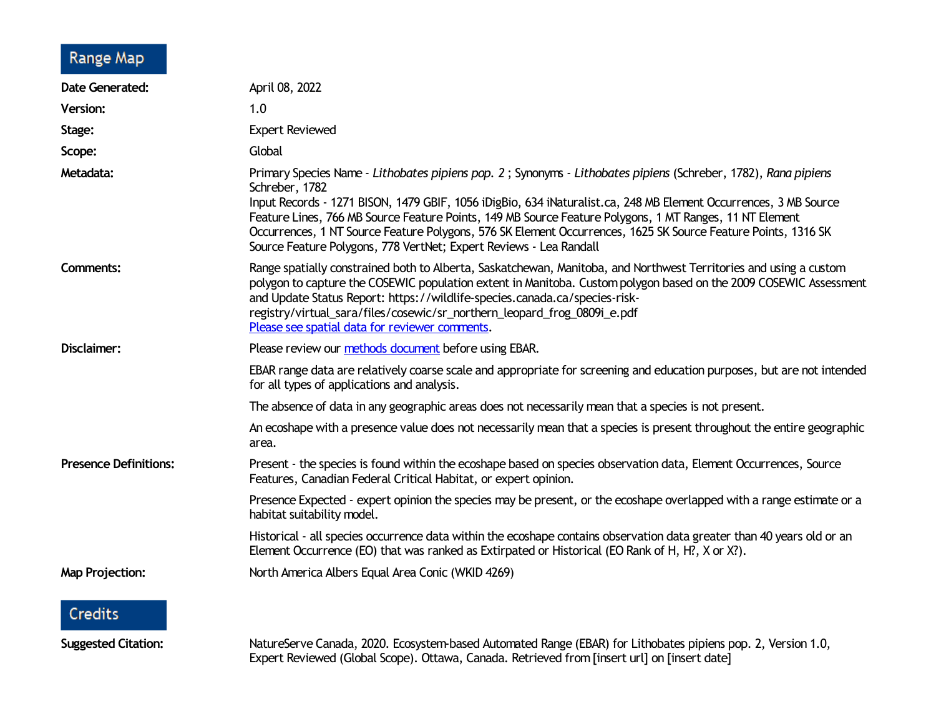#### Range Map

| <b>Date Generated:</b>       | April 08, 2022                                                                                                                                                                                                                                                                                                                                                                                                                                                                                                                                         |
|------------------------------|--------------------------------------------------------------------------------------------------------------------------------------------------------------------------------------------------------------------------------------------------------------------------------------------------------------------------------------------------------------------------------------------------------------------------------------------------------------------------------------------------------------------------------------------------------|
| <b>Version:</b>              | 1.0                                                                                                                                                                                                                                                                                                                                                                                                                                                                                                                                                    |
| Stage:                       | <b>Expert Reviewed</b>                                                                                                                                                                                                                                                                                                                                                                                                                                                                                                                                 |
| Scope:                       | Global                                                                                                                                                                                                                                                                                                                                                                                                                                                                                                                                                 |
| Metadata:                    | Primary Species Name - Lithobates pipiens pop. 2; Synonyms - Lithobates pipiens (Schreber, 1782), Rana pipiens<br>Schreber, 1782<br>Input Records - 1271 BISON, 1479 GBIF, 1056 iDigBio, 634 iNaturalist.ca, 248 MB Element Occurrences, 3 MB Source<br>Feature Lines, 766 MB Source Feature Points, 149 MB Source Feature Polygons, 1 MT Ranges, 11 NT Element<br>Occurrences, 1 NT Source Feature Polygons, 576 SK Element Occurrences, 1625 SK Source Feature Points, 1316 SK<br>Source Feature Polygons, 778 VertNet; Expert Reviews - Lea Randall |
| <b>Comments:</b>             | Range spatially constrained both to Alberta, Saskatchewan, Manitoba, and Northwest Territories and using a custom<br>polygon to capture the COSEWIC population extent in Manitoba. Custom polygon based on the 2009 COSEWIC Assessment<br>and Update Status Report: https://wildlife-species.canada.ca/species-risk-<br>registry/virtual_sara/files/cosewic/sr_northern_leopard_frog_0809i_e.pdf<br>Please see spatial data for reviewer comments.                                                                                                     |
| Disclaimer:                  | Please review our methods document before using EBAR.                                                                                                                                                                                                                                                                                                                                                                                                                                                                                                  |
|                              | EBAR range data are relatively coarse scale and appropriate for screening and education purposes, but are not intended<br>for all types of applications and analysis.                                                                                                                                                                                                                                                                                                                                                                                  |
|                              | The absence of data in any geographic areas does not necessarily mean that a species is not present.                                                                                                                                                                                                                                                                                                                                                                                                                                                   |
|                              | An ecoshape with a presence value does not necessarily mean that a species is present throughout the entire geographic<br>area.                                                                                                                                                                                                                                                                                                                                                                                                                        |
| <b>Presence Definitions:</b> | Present - the species is found within the ecoshape based on species observation data, Element Occurrences, Source<br>Features, Canadian Federal Critical Habitat, or expert opinion.                                                                                                                                                                                                                                                                                                                                                                   |
|                              | Presence Expected - expert opinion the species may be present, or the ecoshape overlapped with a range estimate or a<br>habitat suitability model.                                                                                                                                                                                                                                                                                                                                                                                                     |
|                              | Historical - all species occurrence data within the ecoshape contains observation data greater than 40 years old or an<br>Element Occurrence (EO) that was ranked as Extirpated or Historical (EO Rank of H, H?, X or X?).                                                                                                                                                                                                                                                                                                                             |
| <b>Map Projection:</b>       | North America Albers Equal Area Conic (WKID 4269)                                                                                                                                                                                                                                                                                                                                                                                                                                                                                                      |
| <b>Credits</b>               |                                                                                                                                                                                                                                                                                                                                                                                                                                                                                                                                                        |
| <b>Suggested Citation:</b>   | NatureServe Canada, 2020. Ecosystem-based Automated Range (EBAR) for Lithobates pipiens pop. 2, Version 1.0,                                                                                                                                                                                                                                                                                                                                                                                                                                           |

Expert Reviewed (Global Scope). Ottawa, Canada. Retrieved from [insert url] on [insert date]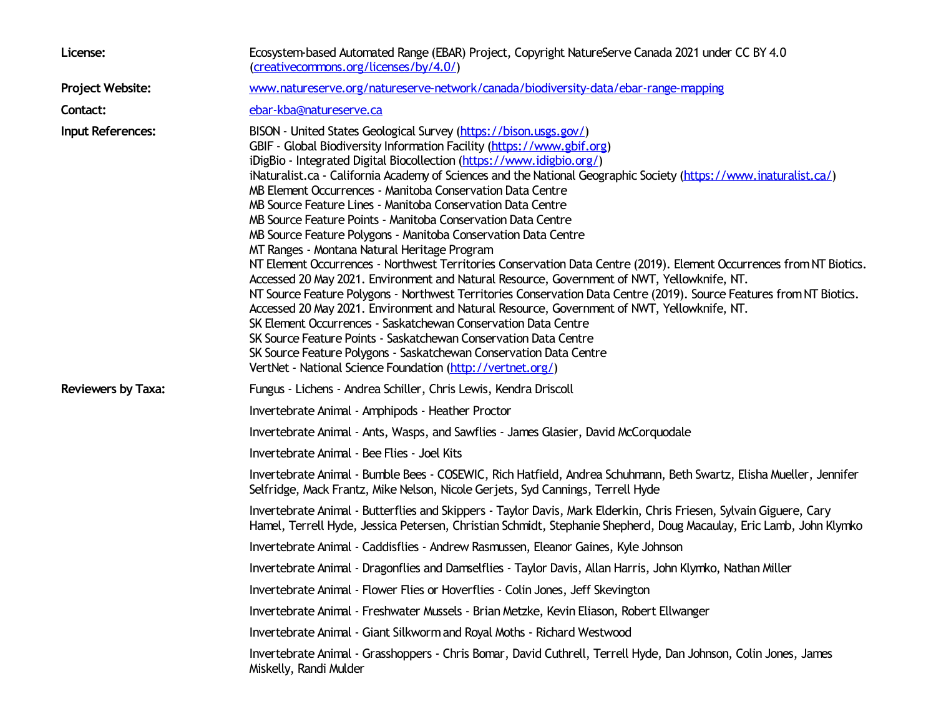| License:                  | Ecosystem-based Automated Range (EBAR) Project, Copyright NatureServe Canada 2021 under CC BY 4.0<br>(creativecommons.org/licenses/by/4.0/)                                                                                                                                                                                                                                                                                                                                                                                                                                                                                                                                                                                                                                                                                                                                                                                                                                                                                                                                                                                                                                                                                                                                                                                                                                       |
|---------------------------|-----------------------------------------------------------------------------------------------------------------------------------------------------------------------------------------------------------------------------------------------------------------------------------------------------------------------------------------------------------------------------------------------------------------------------------------------------------------------------------------------------------------------------------------------------------------------------------------------------------------------------------------------------------------------------------------------------------------------------------------------------------------------------------------------------------------------------------------------------------------------------------------------------------------------------------------------------------------------------------------------------------------------------------------------------------------------------------------------------------------------------------------------------------------------------------------------------------------------------------------------------------------------------------------------------------------------------------------------------------------------------------|
| Project Website:          | www.natureserve.org/natureserve-network/canada/biodiversity-data/ebar-range-mapping                                                                                                                                                                                                                                                                                                                                                                                                                                                                                                                                                                                                                                                                                                                                                                                                                                                                                                                                                                                                                                                                                                                                                                                                                                                                                               |
| Contact:                  | ebar-kba@natureserve.ca                                                                                                                                                                                                                                                                                                                                                                                                                                                                                                                                                                                                                                                                                                                                                                                                                                                                                                                                                                                                                                                                                                                                                                                                                                                                                                                                                           |
| Input References:         | BISON - United States Geological Survey (https://bison.usgs.gov/)<br>GBIF - Global Biodiversity Information Facility (https://www.gbif.org)<br>iDigBio - Integrated Digital Biocollection (https://www.idigbio.org/)<br>iNaturalist.ca - California Academy of Sciences and the National Geographic Society (https://www.inaturalist.ca/)<br>MB Element Occurrences - Manitoba Conservation Data Centre<br>MB Source Feature Lines - Manitoba Conservation Data Centre<br>MB Source Feature Points - Manitoba Conservation Data Centre<br>MB Source Feature Polygons - Manitoba Conservation Data Centre<br>MT Ranges - Montana Natural Heritage Program<br>NT Element Occurrences - Northwest Territories Conservation Data Centre (2019). Element Occurrences from NT Biotics.<br>Accessed 20 May 2021. Environment and Natural Resource, Government of NWT, Yellowknife, NT.<br>NT Source Feature Polygons - Northwest Territories Conservation Data Centre (2019). Source Features from NT Biotics.<br>Accessed 20 May 2021. Environment and Natural Resource, Government of NWT, Yellowknife, NT.<br>SK Element Occurrences - Saskatchewan Conservation Data Centre<br>SK Source Feature Points - Saskatchewan Conservation Data Centre<br>SK Source Feature Polygons - Saskatchewan Conservation Data Centre<br>VertNet - National Science Foundation (http://vertnet.org/) |
| <b>Reviewers by Taxa:</b> | Fungus - Lichens - Andrea Schiller, Chris Lewis, Kendra Driscoll                                                                                                                                                                                                                                                                                                                                                                                                                                                                                                                                                                                                                                                                                                                                                                                                                                                                                                                                                                                                                                                                                                                                                                                                                                                                                                                  |
|                           | Invertebrate Animal - Amphipods - Heather Proctor                                                                                                                                                                                                                                                                                                                                                                                                                                                                                                                                                                                                                                                                                                                                                                                                                                                                                                                                                                                                                                                                                                                                                                                                                                                                                                                                 |
|                           | Invertebrate Animal - Ants, Wasps, and Sawflies - James Glasier, David McCorquodale                                                                                                                                                                                                                                                                                                                                                                                                                                                                                                                                                                                                                                                                                                                                                                                                                                                                                                                                                                                                                                                                                                                                                                                                                                                                                               |
|                           | Invertebrate Animal - Bee Flies - Joel Kits                                                                                                                                                                                                                                                                                                                                                                                                                                                                                                                                                                                                                                                                                                                                                                                                                                                                                                                                                                                                                                                                                                                                                                                                                                                                                                                                       |
|                           | Invertebrate Animal - Bumble Bees - COSEWIC, Rich Hatfield, Andrea Schuhmann, Beth Swartz, Elisha Mueller, Jennifer<br>Selfridge, Mack Frantz, Mike Nelson, Nicole Gerjets, Syd Cannings, Terrell Hyde                                                                                                                                                                                                                                                                                                                                                                                                                                                                                                                                                                                                                                                                                                                                                                                                                                                                                                                                                                                                                                                                                                                                                                            |
|                           | Invertebrate Animal - Butterflies and Skippers - Taylor Davis, Mark Elderkin, Chris Friesen, Sylvain Giguere, Cary<br>Hamel, Terrell Hyde, Jessica Petersen, Christian Schmidt, Stephanie Shepherd, Doug Macaulay, Eric Lamb, John Klymko                                                                                                                                                                                                                                                                                                                                                                                                                                                                                                                                                                                                                                                                                                                                                                                                                                                                                                                                                                                                                                                                                                                                         |
|                           | Invertebrate Animal - Caddisflies - Andrew Rasmussen, Eleanor Gaines, Kyle Johnson                                                                                                                                                                                                                                                                                                                                                                                                                                                                                                                                                                                                                                                                                                                                                                                                                                                                                                                                                                                                                                                                                                                                                                                                                                                                                                |
|                           | Invertebrate Animal - Dragonflies and Damselflies - Taylor Davis, Allan Harris, John Klymko, Nathan Miller                                                                                                                                                                                                                                                                                                                                                                                                                                                                                                                                                                                                                                                                                                                                                                                                                                                                                                                                                                                                                                                                                                                                                                                                                                                                        |
|                           | Invertebrate Animal - Flower Flies or Hoverflies - Colin Jones, Jeff Skevington                                                                                                                                                                                                                                                                                                                                                                                                                                                                                                                                                                                                                                                                                                                                                                                                                                                                                                                                                                                                                                                                                                                                                                                                                                                                                                   |
|                           | Invertebrate Animal - Freshwater Mussels - Brian Metzke, Kevin Eliason, Robert Ellwanger                                                                                                                                                                                                                                                                                                                                                                                                                                                                                                                                                                                                                                                                                                                                                                                                                                                                                                                                                                                                                                                                                                                                                                                                                                                                                          |
|                           | Invertebrate Animal - Giant Silkworm and Royal Moths - Richard Westwood                                                                                                                                                                                                                                                                                                                                                                                                                                                                                                                                                                                                                                                                                                                                                                                                                                                                                                                                                                                                                                                                                                                                                                                                                                                                                                           |
|                           | Invertebrate Animal - Grasshoppers - Chris Bomar, David Cuthrell, Terrell Hyde, Dan Johnson, Colin Jones, James<br>Miskelly, Randi Mulder                                                                                                                                                                                                                                                                                                                                                                                                                                                                                                                                                                                                                                                                                                                                                                                                                                                                                                                                                                                                                                                                                                                                                                                                                                         |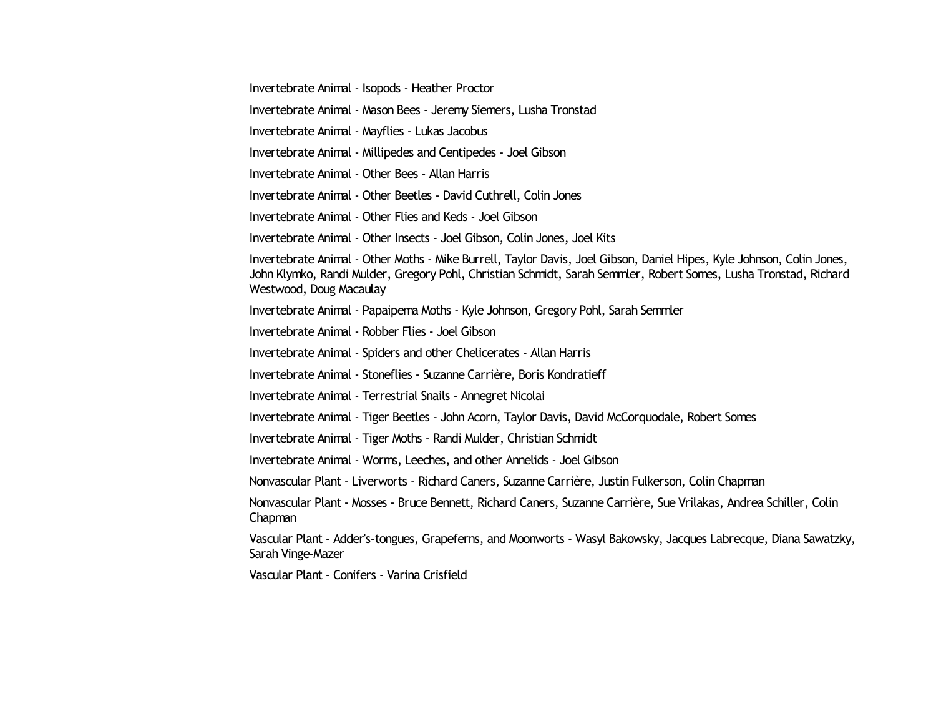Invertebrate Animal - Isopods - Heather Proctor

Invertebrate Animal - Mason Bees - Jeremy Siemers, Lusha Tronstad

Invertebrate Animal - Mayflies - Lukas Jacobus

Invertebrate Animal - Millipedes and Centipedes - Joel Gibson

Invertebrate Animal - Other Bees - Allan Harris

Invertebrate Animal - Other Beetles - David Cuthrell, Colin Jones

Invertebrate Animal - Other Flies and Keds - Joel Gibson

Invertebrate Animal - Other Insects - Joel Gibson, Colin Jones, Joel Kits

Invertebrate Animal - Other Moths - Mike Burrell, Taylor Davis, Joel Gibson, Daniel Hipes, Kyle Johnson, Colin Jones, John Klymko, Randi Mulder, Gregory Pohl, Christian Schmidt, Sarah Semmler, Robert Somes, Lusha Tronstad, Richard Westwood, Doug Macaulay

Invertebrate Animal - Papaipema Moths - Kyle Johnson, Gregory Pohl, Sarah Semmler

Invertebrate Animal - Robber Flies - Joel Gibson

Invertebrate Animal - Spiders and other Chelicerates - Allan Harris

Invertebrate Animal - Stoneflies - Suzanne Carrière, Boris Kondratieff

Invertebrate Animal - Terrestrial Snails - Annegret Nicolai

Invertebrate Animal - Tiger Beetles - John Acorn, Taylor Davis, David McCorquodale, Robert Somes

Invertebrate Animal - Tiger Moths - Randi Mulder, Christian Schmidt

Invertebrate Animal - Worms, Leeches, and other Annelids - Joel Gibson

Nonvascular Plant - Liverworts - Richard Caners, Suzanne Carrière, Justin Fulkerson, Colin Chapman

Nonvascular Plant - Mosses - Bruce Bennett, Richard Caners, Suzanne Carrière, Sue Vrilakas, Andrea Schiller, Colin Chapman

Vascular Plant - Adder's-tongues, Grapeferns, and Moonworts - Wasyl Bakowsky, Jacques Labrecque, Diana Sawatzky, Sarah Vinge-Mazer

Vascular Plant - Conifers - Varina Crisfield